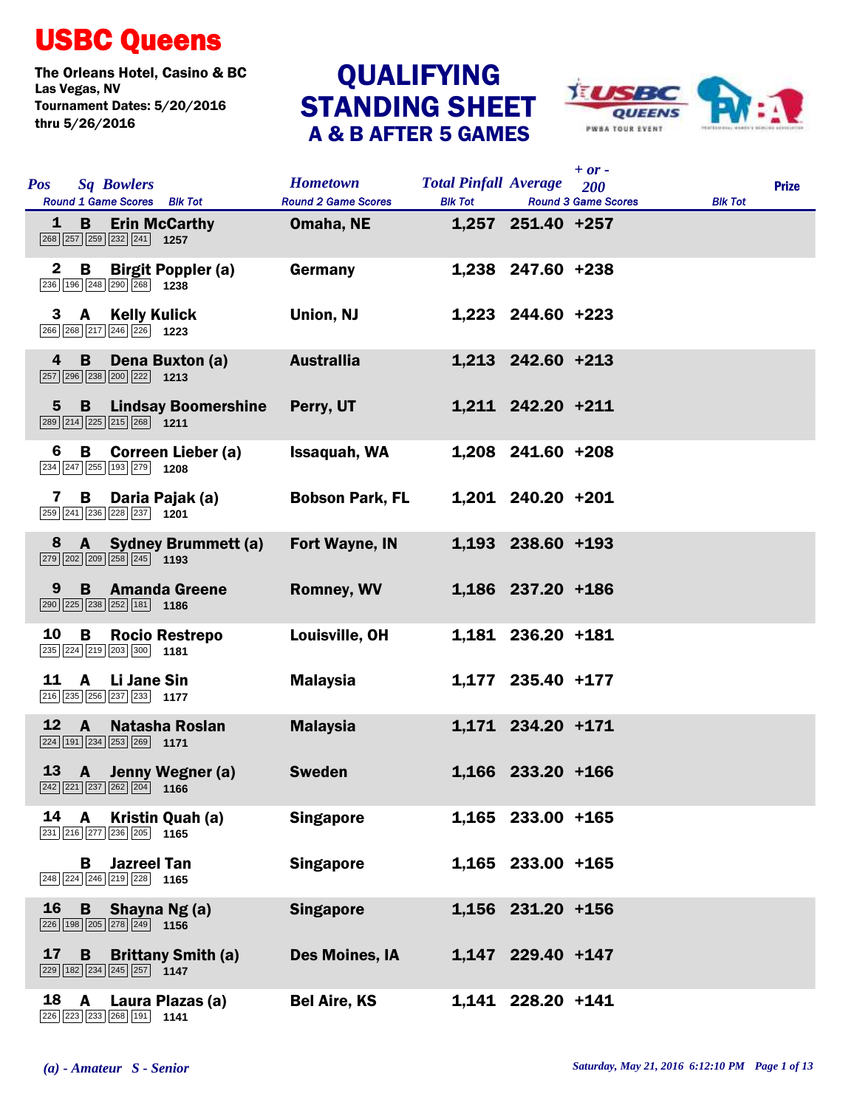## USBC Queens

The Orleans Hotel, Casino & BC<br>Las Vegas, NV<br>
QUALIFYING Tournament Dates: 5/20/2016 thru 5/26/2016

## QUALIFYING<br>STANDING SHEET A & B AFTER 5 GAMES



| <b>Pos</b>     | <b>Sq Bowlers</b><br>Round 1 Game Scores Blk Tot                                                                         | <b>Hometown</b><br><b>Round 2 Game Scores</b> | <b>Total Pinfall Average</b><br><b>Blk Tot</b> |                   | $+$ or $-$<br>200<br><b>Round 3 Game Scores</b> | <b>Blk Tot</b> | <b>Prize</b> |
|----------------|--------------------------------------------------------------------------------------------------------------------------|-----------------------------------------------|------------------------------------------------|-------------------|-------------------------------------------------|----------------|--------------|
| 1              | <b>Erin McCarthy</b><br>B<br>$\boxed{268}\boxed{257}\boxed{259}\boxed{232}\boxed{241}$ 1257                              | Omaha, NE                                     |                                                | 1,257 251.40 +257 |                                                 |                |              |
| $\mathbf{2}$   | B<br><b>Birgit Poppler (a)</b><br>236 196 248 290 268 1238                                                               | Germany                                       |                                                | 1,238 247.60 +238 |                                                 |                |              |
| 3              | <b>Kelly Kulick</b><br>A<br>266 268 217 246 226 1223                                                                     | Union, NJ                                     |                                                | 1,223 244.60 +223 |                                                 |                |              |
| 4              | Dena Buxton (a)<br>B<br>257 296 238 200 222 1213                                                                         | <b>Australlia</b>                             |                                                | 1,213 242.60 +213 |                                                 |                |              |
| $\overline{5}$ | <b>B</b> Lindsay Boomershine<br>$\boxed{289}$ $\boxed{214}$ $\boxed{225}$ $\boxed{215}$ $\boxed{268}$ 1211               | Perry, UT                                     |                                                | 1,211 242.20 +211 |                                                 |                |              |
| 6              | B<br><b>Correen Lieber (a)</b><br>234 247 255 193 279 1208                                                               | Issaquah, WA                                  |                                                | 1,208 241.60 +208 |                                                 |                |              |
| 7              | Daria Pajak (a)<br>В<br>259 241 236 228 237 1201                                                                         | <b>Bobson Park, FL</b>                        |                                                | 1,201 240.20 +201 |                                                 |                |              |
| 8              | <b>Sydney Brummett (a)</b><br>$\mathbf{A}$<br>$\boxed{279}$ $\boxed{202}$ $\boxed{209}$ $\boxed{258}$ $\boxed{245}$ 1193 | <b>Fort Wayne, IN</b>                         |                                                | 1,193 238.60 +193 |                                                 |                |              |
| 9              | <b>B</b> Amanda Greene<br>290 225 238 252 181 186                                                                        | <b>Romney, WV</b>                             |                                                | 1,186 237.20 +186 |                                                 |                |              |
| 10             | <b>Rocio Restrepo</b><br>В<br>$\boxed{235}$ $\boxed{224}$ $\boxed{219}$ $\boxed{203}$ $\boxed{300}$ 1181                 | Louisville, OH                                |                                                | 1,181 236.20 +181 |                                                 |                |              |
| 11             | Li Jane Sin<br>A<br>216 235 256 237 233 1177                                                                             | <b>Malaysia</b>                               |                                                | 1,177 235.40 +177 |                                                 |                |              |
| 12             | $\mathbf{A}$<br>Natasha Roslan<br>224 191 234 253 269 1171                                                               | <b>Malaysia</b>                               |                                                | 1,171 234.20 +171 |                                                 |                |              |
| 13             | A Jenny Wegner (a)<br>$\boxed{242}\boxed{221}\boxed{237}\boxed{262}\boxed{204}$ 1166                                     | <b>Sweden</b>                                 |                                                | 1,166 233.20 +166 |                                                 |                |              |
| 14             | $\mathbf{A}$<br>Kristin Quah (a)<br>231 216 277 236 205 1165                                                             | <b>Singapore</b>                              |                                                | 1,165 233.00 +165 |                                                 |                |              |
|                | <b>Jazreel Tan</b><br>В<br>248 224 246 219 228 1165                                                                      | <b>Singapore</b>                              |                                                | 1,165 233.00 +165 |                                                 |                |              |
| 16             | Shayna Ng(a)<br>B<br>226 198 205 278 249 1156                                                                            | <b>Singapore</b>                              |                                                | 1,156 231.20 +156 |                                                 |                |              |
| 17             | <b>B</b><br><b>Brittany Smith (a)</b><br>$\boxed{229}$ 182 234 245 257 1147                                              | Des Moines, IA                                |                                                | 1,147 229.40 +147 |                                                 |                |              |
| 18             | $\mathbf{A}$<br>Laura Plazas (a)<br>226 223 233 268 191 1141                                                             | <b>Bel Aire, KS</b>                           |                                                | 1,141 228.20 +141 |                                                 |                |              |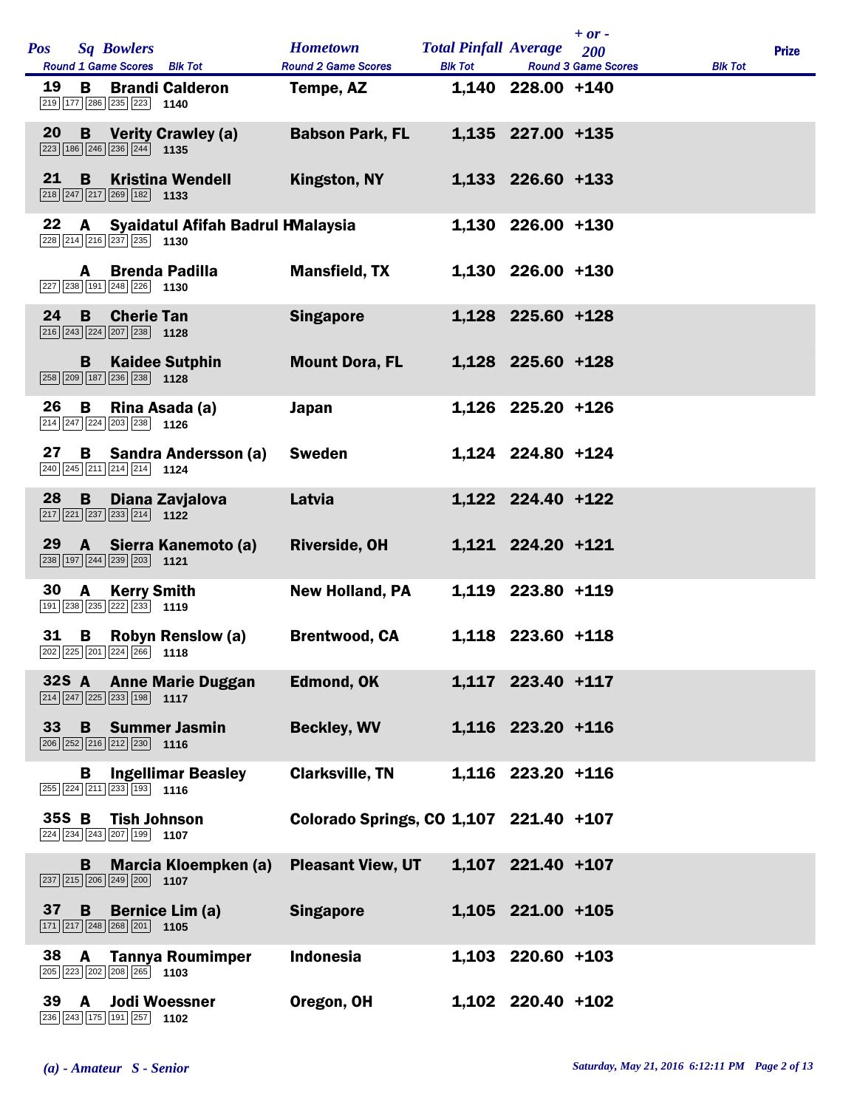| <b>Pos</b> |              | <b>Sq Bowlers</b>                                                                                                  | <b>Hometown</b>                         | <b>Total Pinfall Average</b> |                   | $+ or -$<br>200            |                | <b>Prize</b> |
|------------|--------------|--------------------------------------------------------------------------------------------------------------------|-----------------------------------------|------------------------------|-------------------|----------------------------|----------------|--------------|
| 19         | B            | Round 1 Game Scores Blk Tot<br><b>Brandi Calderon</b>                                                              | <b>Round 2 Game Scores</b><br>Tempe, AZ | <b>Blk Tot</b>               | 1,140 228.00 +140 | <b>Round 3 Game Scores</b> | <b>Blk Tot</b> |              |
| 20         |              | 219 177 286 235 223<br>1140                                                                                        |                                         |                              |                   |                            |                |              |
|            |              | <b>B</b> Verity Crawley (a)<br>$\boxed{223}$ 186 246 236 244 1135                                                  | <b>Babson Park, FL</b>                  |                              | 1,135 227.00 +135 |                            |                |              |
| 21         | B            | <b>Kristina Wendell</b><br>218 247 217 269 182 1133                                                                | <b>Kingston, NY</b>                     |                              | 1,133 226.60 +133 |                            |                |              |
| 22         | A            | Syaidatul Afifah Badrul HMalaysia<br>228 214 216 237 235 1130                                                      |                                         |                              | 1,130 226.00 +130 |                            |                |              |
|            | A            | <b>Brenda Padilla</b><br>$\boxed{227}$ $\boxed{238}$ $\boxed{191}$ $\boxed{248}$ $\boxed{226}$ <b>1130</b>         | <b>Mansfield, TX</b>                    |                              | 1,130 226.00 +130 |                            |                |              |
| 24         | <b>B</b>     | <b>Cherie Tan</b><br>$\boxed{216}$ $\boxed{243}$ $\boxed{224}$ $\boxed{207}$ $\boxed{238}$ 1128                    | <b>Singapore</b>                        |                              | 1,128 225.60 +128 |                            |                |              |
|            | B            | <b>Kaidee Sutphin</b><br>258 209 187 236 238 1128                                                                  | <b>Mount Dora, FL</b>                   |                              | 1,128 225.60 +128 |                            |                |              |
| 26         | В            | Rina Asada (a)<br>$\boxed{214}$ $\boxed{247}$ $\boxed{224}$ $\boxed{203}$ $\boxed{238}$ 1126                       | <b>Japan</b>                            |                              | 1,126 225.20 +126 |                            |                |              |
| 27         |              | <b>B</b> Sandra Andersson (a)<br>$\boxed{240}$ $\boxed{245}$ $\boxed{211}$ $\boxed{214}$ $\boxed{214}$ <b>1124</b> | <b>Sweden</b>                           |                              | 1,124 224.80 +124 |                            |                |              |
| 28         | B            | Diana Zavjalova<br>$\boxed{217}$ $\boxed{221}$ $\boxed{237}$ $\boxed{233}$ $\boxed{214}$ 1122                      | Latvia                                  |                              | 1,122 224.40 +122 |                            |                |              |
| 29         | $\mathbf{A}$ | Sierra Kanemoto (a)<br>$\boxed{238}$ 197 244 239 203 1121                                                          | <b>Riverside, OH</b>                    |                              | 1,121 224.20 +121 |                            |                |              |
| 30         | A            | <b>Kerry Smith</b><br>191 238 235 222 233 1119                                                                     | <b>New Holland, PA</b>                  |                              | 1,119 223.80 +119 |                            |                |              |
| 31         | B            | <b>Robyn Renslow (a)</b><br>202 225 201 224 266 1118                                                               | <b>Brentwood, CA</b>                    |                              | 1,118 223.60 +118 |                            |                |              |
| $32S$ A    |              | <b>Anne Marie Duggan</b><br>$\boxed{214}$ $\boxed{247}$ $\boxed{225}$ $\boxed{233}$ $\boxed{198}$ <b>1117</b>      | Edmond, OK                              |                              | 1,117 223.40 +117 |                            |                |              |
| 33         |              | <b>B</b> Summer Jasmin<br>$\boxed{206}$ $\boxed{252}$ $\boxed{216}$ $\boxed{212}$ $\boxed{230}$ 1116               | <b>Beckley, WV</b>                      |                              | 1,116 223.20 +116 |                            |                |              |
|            | B.           | <b>Ingellimar Beasley</b><br>$\boxed{255}$ $\boxed{224}$ $\boxed{211}$ $\boxed{233}$ 193 1116                      | <b>Clarksville, TN</b>                  |                              | 1,116 223.20 +116 |                            |                |              |
| 35S B      |              | <b>Tish Johnson</b><br>224 234 243 207 199 1107                                                                    | Colorado Springs, CO 1,107 221.40 +107  |                              |                   |                            |                |              |
|            | $\mathbf{B}$ | Marcia Kloempken (a)<br>$\boxed{237}$ $\boxed{215}$ $\boxed{206}$ $\boxed{249}$ $\boxed{200}$ 1107                 | <b>Pleasant View, UT</b>                |                              | 1,107 221.40 +107 |                            |                |              |
| 37         |              | <b>B</b> Bernice Lim (a)<br>$\boxed{171}$ $\boxed{217}$ $\boxed{248}$ $\boxed{268}$ $\boxed{201}$ <b>1105</b>      | <b>Singapore</b>                        |                              | 1,105 221.00 +105 |                            |                |              |
| 38         | <b>A</b>     | <b>Tannya Roumimper</b><br>205 223 202 208 265 1103                                                                | <b>Indonesia</b>                        |                              | 1,103 220.60 +103 |                            |                |              |
| 39         | A            | <b>Jodi Woessner</b><br>236 243 175 191 257 1102                                                                   | Oregon, OH                              |                              | 1,102 220.40 +102 |                            |                |              |

 $\overline{1}$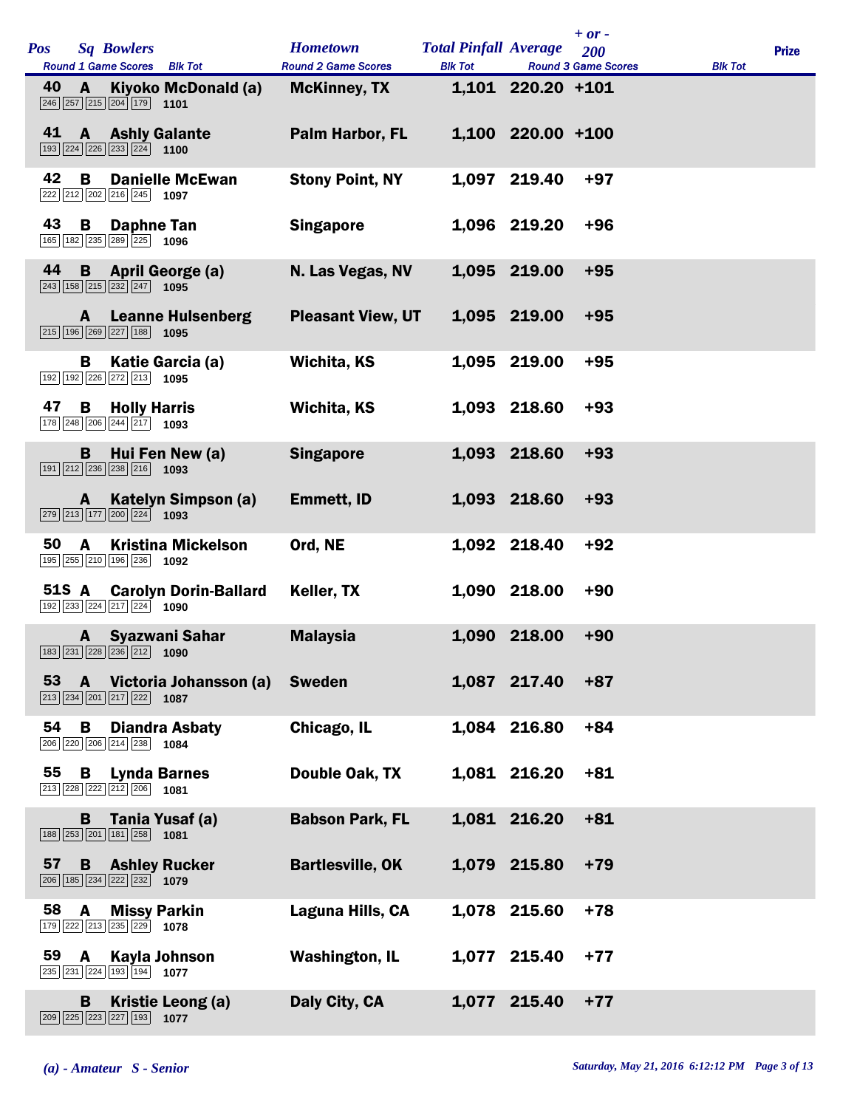| <b>Pos</b> |              | <b>Sq Bowlers</b><br>Round 1 Game Scores Blk Tot                                                            | <b>Hometown</b><br><b>Round 2 Game Scores</b> | <b>Total Pinfall Average</b><br><b>Blk Tot</b> |                   | $+ or -$<br>200<br><b>Round 3 Game Scores</b> | <b>Blk Tot</b> | <b>Prize</b> |
|------------|--------------|-------------------------------------------------------------------------------------------------------------|-----------------------------------------------|------------------------------------------------|-------------------|-----------------------------------------------|----------------|--------------|
| 40         | A            | Kiyoko McDonald (a)<br>$\boxed{246}$ $\boxed{257}$ $\boxed{215}$ $\boxed{204}$ $\boxed{179}$ 1101           | <b>McKinney, TX</b>                           |                                                | 1,101 220.20 +101 |                                               |                |              |
| 41         |              | <b>A</b> Ashly Galante<br>193 224 226 233 224 1100                                                          | Palm Harbor, FL                               |                                                | 1,100 220.00 +100 |                                               |                |              |
| 42         | B            | <b>Danielle McEwan</b><br>222 212 202 216 245 1097                                                          | <b>Stony Point, NY</b>                        |                                                | 1,097 219.40      | $+97$                                         |                |              |
| 43         | B            | <b>Daphne Tan</b><br>165 182 235 289 225 1096                                                               | <b>Singapore</b>                              |                                                | 1,096 219.20      | $+96$                                         |                |              |
| 44         |              | <b>B</b> April George (a)<br>$\boxed{243}$ 158 $\boxed{215}$ $\boxed{232}$ $\boxed{247}$ 1095               | N. Las Vegas, NV                              |                                                | 1,095 219.00      | $+95$                                         |                |              |
|            | A —          | <b>Leanne Hulsenberg</b><br>$\boxed{215}$ $\boxed{196}$ $\boxed{269}$ $\boxed{227}$ $\boxed{188}$ 1095      | <b>Pleasant View, UT</b>                      |                                                | 1,095 219.00      | $+95$                                         |                |              |
|            | В            | Katie Garcia (a)<br>192 192 226 272 213<br>1095                                                             | Wichita, KS                                   |                                                | 1,095 219.00      | $+95$                                         |                |              |
| 47         | B.           | <b>Holly Harris</b><br>178 248 206 244 217 1093                                                             | Wichita, KS                                   |                                                | 1,093 218.60      | $+93$                                         |                |              |
|            | <b>B</b>     | Hui Fen New (a)<br>$\boxed{191}$ $\boxed{212}$ $\boxed{236}$ $\boxed{238}$ $\boxed{216}$ <b>1093</b>        | <b>Singapore</b>                              |                                                | 1,093 218.60      | $+93$                                         |                |              |
|            | A —          | Katelyn Simpson (a)<br>$\boxed{279}$ $\boxed{213}$ $\boxed{177}$ $\boxed{200}$ $\boxed{224}$ <b>1093</b>    | <b>Emmett, ID</b>                             |                                                | 1,093 218.60      | $+93$                                         |                |              |
| 50         | A            | <b>Kristina Mickelson</b><br>195 255 210 196 236 1092                                                       | Ord, NE                                       |                                                | 1,092 218.40      | $+92$                                         |                |              |
|            | <b>51S A</b> | <b>Carolyn Dorin-Ballard</b><br>192 233 224 217 224 1090                                                    | Keller, TX                                    |                                                | 1,090 218.00      | $+90$                                         |                |              |
|            | $\mathbf{A}$ | <b>Syazwani Sahar</b><br>$\boxed{183}$ $\boxed{231}$ $\boxed{228}$ $\boxed{236}$ $\boxed{212}$ <b>1090</b>  | <b>Malaysia</b>                               |                                                | 1,090 218.00      | $+90$                                         |                |              |
| 53         | $\mathbf{A}$ | Victoria Johansson (a)<br>$\boxed{213}$ $\boxed{234}$ $\boxed{201}$ $\boxed{217}$ $\boxed{222}$ <b>1087</b> | <b>Sweden</b>                                 |                                                | 1,087 217.40      | $+87$                                         |                |              |
| 54         | B            | <b>Diandra Asbaty</b><br>206 220 206 214 238 1084                                                           | Chicago, IL                                   |                                                | 1,084 216.80      | $+84$                                         |                |              |
| 55         | B            | <b>Lynda Barnes</b><br>213 228 222 212 206<br>1081                                                          | Double Oak, TX                                |                                                | 1,081 216.20      | $+81$                                         |                |              |
|            | в            | Tania Yusaf (a)<br>188 253 201 181 258 1081                                                                 | <b>Babson Park, FL</b>                        |                                                | 1,081 216.20      | $+81$                                         |                |              |
| 57         |              | <b>B</b> Ashley Rucker<br>206 185 234 222 232 1079                                                          | <b>Bartlesville, OK</b>                       |                                                | 1,079 215.80      | $+79$                                         |                |              |
| 58         | A            | <b>Missy Parkin</b><br>179 222 213 235 229 1078                                                             | Laguna Hills, CA                              |                                                | 1,078 215.60      | $+78$                                         |                |              |
| 59         | A            | Kayla Johnson<br>$\boxed{235}$ $\boxed{231}$ $\boxed{224}$ $\boxed{193}$ $\boxed{194}$ <b>1077</b>          | <b>Washington, IL</b>                         |                                                | 1,077 215.40      | $+77$                                         |                |              |
|            | B            | Kristie Leong (a)<br>209 225 223 227 193 1077                                                               | Daly City, CA                                 |                                                | 1,077 215.40      | $+77$                                         |                |              |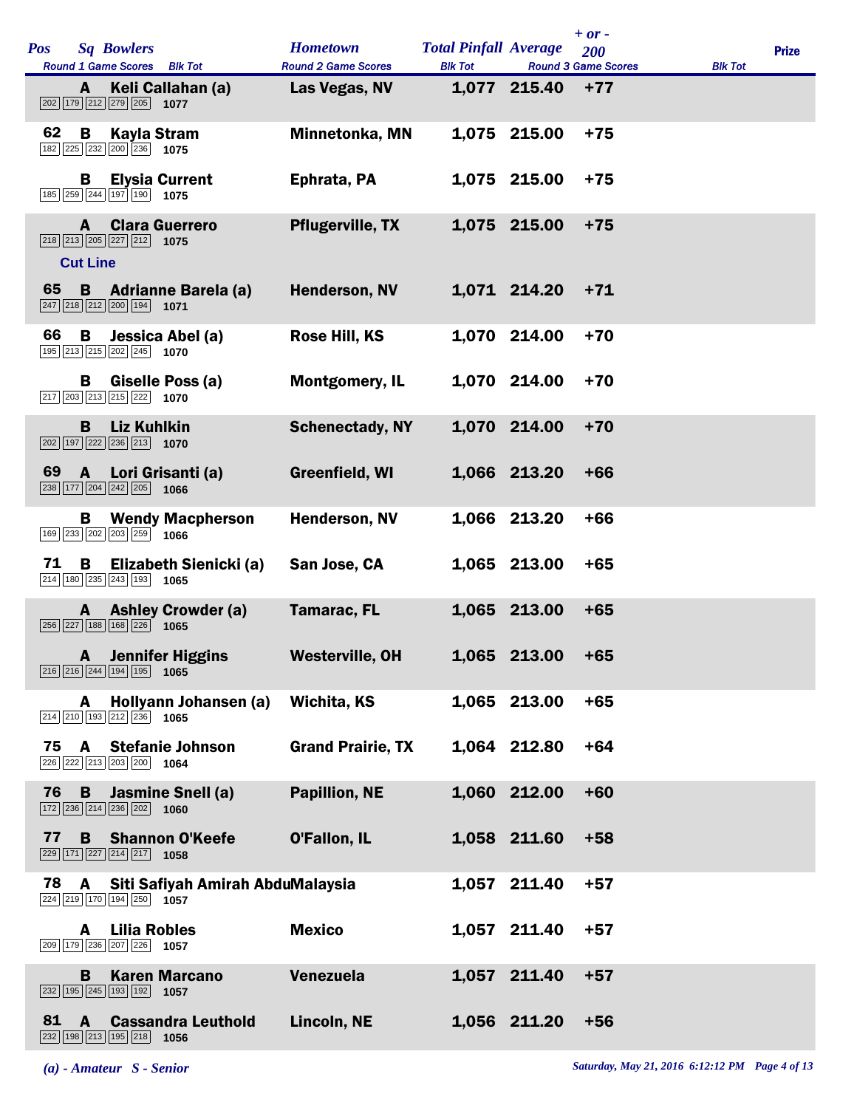| <b>Pos</b> |                      | <b>Sq Bowlers</b><br>Round 1 Game Scores Blk Tot                                                              | <b>Hometown</b><br><b>Round 2 Game Scores</b> | <b>Total Pinfall Average</b><br><b>Blk Tot</b> |                    | $+ or -$<br>200<br><b>Round 3 Game Scores</b> | <b>Blk Tot</b> | <b>Prize</b> |
|------------|----------------------|---------------------------------------------------------------------------------------------------------------|-----------------------------------------------|------------------------------------------------|--------------------|-----------------------------------------------|----------------|--------------|
|            | A                    | Keli Callahan (a)<br>202 179 212 279 205 1077                                                                 | Las Vegas, NV                                 |                                                | 1,077 215.40       | $+77$                                         |                |              |
| 62         | B                    | <b>Kayla Stram</b><br>182 225 232 200 236 1075                                                                | Minnetonka, MN                                |                                                | 1,075 215.00       | $+75$                                         |                |              |
|            | в                    | <b>Elysia Current</b><br>185 259 244 197 190 1075                                                             | Ephrata, PA                                   |                                                | 1,075 215.00       | $+75$                                         |                |              |
|            | A<br><b>Cut Line</b> | <b>Clara Guerrero</b><br>218 213 205 227 212 1075                                                             | <b>Pflugerville, TX</b>                       |                                                | 1,075 215.00       | $+75$                                         |                |              |
| 65         |                      | <b>B</b> Adrianne Barela (a)<br>247 218 212 200 194 1071                                                      | <b>Henderson, NV</b>                          |                                                | 1,071 214.20       | $+71$                                         |                |              |
| 66         |                      | <b>B</b> Jessica Abel (a)<br>195 213 215 202 245 1070                                                         | Rose Hill, KS                                 |                                                | 1,070 214.00       | $+70$                                         |                |              |
|            | В                    | Giselle Poss (a)<br>$\boxed{217}$ $\boxed{203}$ $\boxed{213}$ $\boxed{215}$ $\boxed{222}$ <b>1070</b>         | <b>Montgomery, IL</b>                         |                                                | 1,070 214.00       | $+70$                                         |                |              |
|            | B                    | <b>Liz Kuhlkin</b><br>$\boxed{202}$ 197 $\boxed{222}$ $\boxed{236}$ $\boxed{213}$ 1070                        | <b>Schenectady, NY</b>                        |                                                | 1,070 214.00       | $+70$                                         |                |              |
| 69         | $\mathbf{A}$         | Lori Grisanti (a)<br>$\boxed{238}$ 177 204 242 205 1066                                                       | Greenfield, WI                                |                                                | 1,066 213.20       | $+66$                                         |                |              |
|            | В                    | <b>Wendy Macpherson</b><br>169 233 202 203 259 1066                                                           | <b>Henderson, NV</b>                          |                                                | 1,066 213.20       | $+66$                                         |                |              |
| 71         | B                    | Elizabeth Sienicki (a)<br>214 180 235 243 193 1065                                                            | San Jose, CA                                  |                                                | 1,065 213.00       | $+65$                                         |                |              |
|            | A                    | <b>Ashley Crowder (a)</b><br>256 227 188 168 226 1065                                                         | <b>Tamarac, FL</b>                            |                                                | 1,065 213.00       | $+65$                                         |                |              |
|            |                      | <b>A</b> Jennifer Higgins<br>216 216 244 194 195 1065                                                         | Westerville, OH                               |                                                | $1,065$ 213.00 +65 |                                               |                |              |
|            | A                    | Hollyann Johansen (a)<br>$\boxed{214}$ $\boxed{210}$ $\boxed{193}$ $\boxed{212}$ $\boxed{236}$ <b>1065</b>    | Wichita, KS                                   |                                                | 1,065 213.00       | $+65$                                         |                |              |
| 75         |                      | <b>A</b> Stefanie Johnson<br>226 222 213 203 200 1064                                                         | <b>Grand Prairie, TX</b>                      |                                                | 1,064 212.80       | $+64$                                         |                |              |
| 76         | B                    | <b>Jasmine Snell (a)</b><br>$\boxed{172}$ $\boxed{236}$ $\boxed{214}$ $\boxed{236}$ $\boxed{202}$ <b>1060</b> | <b>Papillion, NE</b>                          |                                                | 1,060 212.00       | $+60$                                         |                |              |
| 77         | B                    | <b>Shannon O'Keefe</b><br>$\boxed{229}$ 171 $\boxed{227}$ $\boxed{214}$ $\boxed{217}$ 1058                    | O'Fallon, IL                                  |                                                | 1,058 211.60       | $+58$                                         |                |              |
| 78         | A                    | Siti Safiyah Amirah AbduMalaysia<br>224 219 170 194 250 1057                                                  |                                               |                                                | 1,057 211.40       | $+57$                                         |                |              |
|            | A                    | <b>Lilia Robles</b><br>209 179 236 207 226 1057                                                               | <b>Mexico</b>                                 |                                                | 1,057 211.40       | $+57$                                         |                |              |
|            | B                    | <b>Karen Marcano</b><br>232 195 245 193 192 1057                                                              | Venezuela                                     |                                                | 1,057 211.40       | $+57$                                         |                |              |
| 81         | A                    | <b>Cassandra Leuthold</b><br>232 198 213 195 218 1056                                                         | Lincoln, NE                                   |                                                | 1,056 211.20       | $+56$                                         |                |              |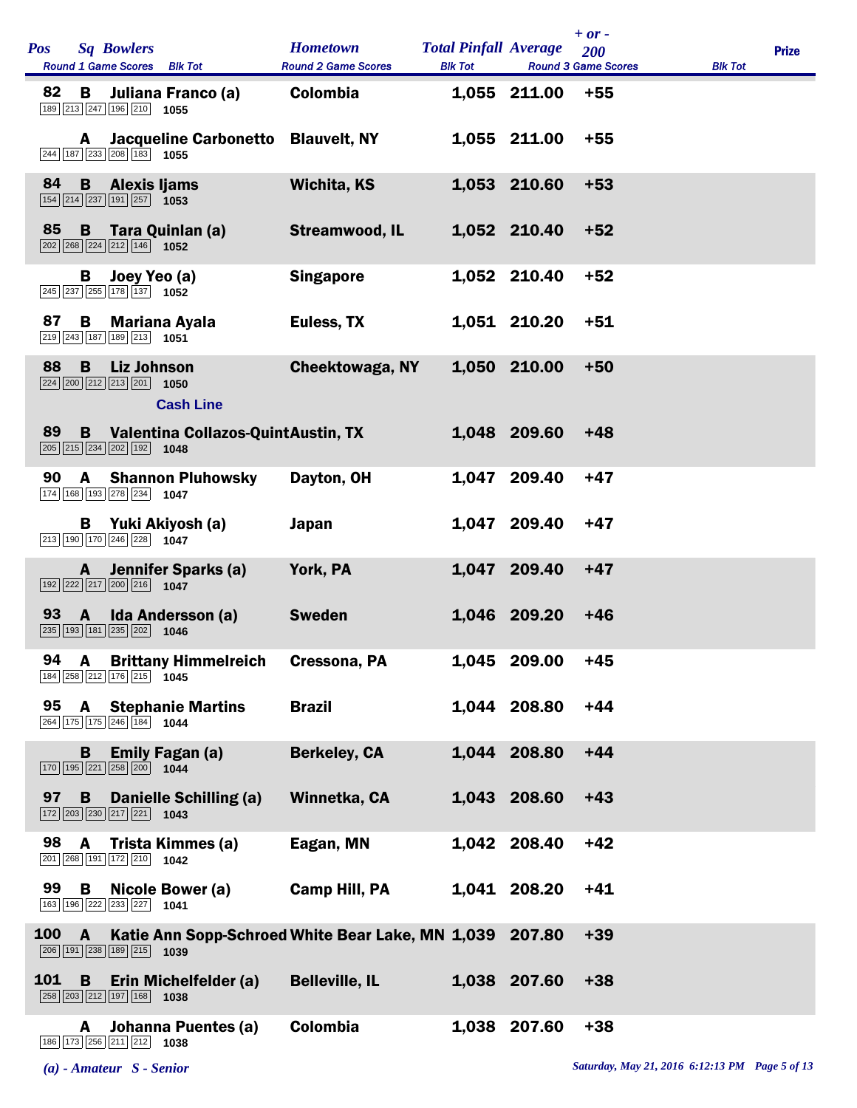| <b>Sq Bowlers</b><br><b>Pos</b><br>Round 1 Game Scores Blk Tot                                                                         | <b>Hometown</b><br><b>Round 2 Game Scores</b> | <b>Total Pinfall Average</b><br><b>Blk Tot</b> |              | $+ or -$<br>200<br><b>Round 3 Game Scores</b> | <b>Blk Tot</b> | <b>Prize</b> |
|----------------------------------------------------------------------------------------------------------------------------------------|-----------------------------------------------|------------------------------------------------|--------------|-----------------------------------------------|----------------|--------------|
| 82<br>Juliana Franco (a)<br>В<br>189 213 247 196 210 1055                                                                              | Colombia                                      |                                                | 1,055 211.00 | $+55$                                         |                |              |
| <b>Jacqueline Carbonetto</b><br>A<br>244 187 233 208 183 1055                                                                          | <b>Blauvelt, NY</b>                           |                                                | 1,055 211.00 | $+55$                                         |                |              |
| 84<br>$\mathbf{B}$<br>Alexis Ijams<br>$\boxed{154}$ $\boxed{214}$ $\boxed{237}$ $\boxed{191}$ $\boxed{257}$ <b>1053</b>                | <b>Wichita, KS</b>                            |                                                | 1,053 210.60 | $+53$                                         |                |              |
| 85<br>Tara Quinlan (a)<br>B<br>$\boxed{202}$ $\boxed{268}$ $\boxed{224}$ $\boxed{212}$ $\boxed{146}$ <b>1052</b>                       | <b>Streamwood, IL</b>                         |                                                | 1,052 210.40 | $+52$                                         |                |              |
| Joey Yeo (a)<br>В<br>245 237 255 178 137 1052                                                                                          | <b>Singapore</b>                              |                                                | 1,052 210.40 | $+52$                                         |                |              |
| 87<br>B<br><b>Mariana Ayala</b><br>219 243 187 189 213 1051                                                                            | Euless, TX                                    |                                                | 1,051 210.20 | $+51$                                         |                |              |
| 88<br>B<br><b>Liz Johnson</b><br>$\boxed{224}$ $\boxed{200}$ $\boxed{212}$ $\boxed{213}$ $\boxed{201}$ <b>1050</b><br><b>Cash Line</b> | <b>Cheektowaga, NY</b>                        |                                                | 1,050 210.00 | $+50$                                         |                |              |
| Valentina Collazos-QuintAustin, TX<br>89<br>B<br>$\boxed{205}$ $\boxed{215}$ $\boxed{234}$ $\boxed{202}$ $\boxed{192}$ <b>1048</b>     |                                               |                                                | 1,048 209.60 | $+48$                                         |                |              |
| 90<br><b>Shannon Pluhowsky</b><br>A<br>174 168 193 278 234 1047                                                                        | Dayton, OH                                    |                                                | 1,047 209.40 | $+47$                                         |                |              |
| Yuki Akiyosh (a)<br>B<br>213 190 170 246 228 1047                                                                                      | <b>Japan</b>                                  |                                                | 1,047 209.40 | +47                                           |                |              |
| <b>Jennifer Sparks (a)</b><br>A<br>$\boxed{192}$ $\boxed{222}$ $\boxed{217}$ $\boxed{200}$ $\boxed{216}$ 1047                          | York, PA                                      |                                                | 1,047 209.40 | $+47$                                         |                |              |
| 93<br>Ida Andersson (a)<br>$\mathbf{A}$<br>235 193 181 235 202<br>1046                                                                 | <b>Sweden</b>                                 |                                                | 1,046 209.20 | $+46$                                         |                |              |
| <b>Brittany Himmelreich</b><br>94 A<br>184 258 212 176 215 1045                                                                        | Cressona, PA                                  |                                                | 1,045 209.00 | $+45$                                         |                |              |
| 95 A<br><b>Stephanie Martins</b><br>264 175 175 246 184 1044                                                                           | <b>Brazil</b>                                 |                                                | 1,044 208.80 | $+44$                                         |                |              |
| <b>Emily Fagan (a)</b><br>в<br>170 195 221 258 200 1044                                                                                | <b>Berkeley, CA</b>                           |                                                | 1,044 208.80 | $+44$                                         |                |              |
| 97 B<br>Danielle Schilling (a)<br>$\boxed{172}$ $\boxed{203}$ $\boxed{230}$ $\boxed{217}$ $\boxed{221}$ <b>1043</b>                    | Winnetka, CA                                  |                                                | 1,043 208.60 | $+43$                                         |                |              |
| 98<br>Trista Kimmes (a)<br>A<br>201 268 191 172 210 1042                                                                               | Eagan, MN                                     |                                                | 1,042 208.40 | $+42$                                         |                |              |
| 99<br>$\overline{B}$<br>Nicole Bower (a)<br>163 196 222 233 227 1041                                                                   | <b>Camp Hill, PA</b>                          |                                                | 1,041 208.20 | $+41$                                         |                |              |
| Katie Ann Sopp-Schroed White Bear Lake, MN 1,039 207.80<br><b>100</b><br>$\mathbf{A}$<br>206 191 238 189 215 1039                      |                                               |                                                |              | $+39$                                         |                |              |
| 101<br>$\mathbf{B}$<br>Erin Michelfelder (a)<br>$\boxed{258}$ $\boxed{203}$ $\boxed{212}$ $\boxed{197}$ $\boxed{168}$ 1038             | <b>Belleville, IL</b>                         |                                                | 1,038 207.60 | $+38$                                         |                |              |
| Johanna Puentes (a)<br>A<br>186 173 256 211 212<br>1038                                                                                | Colombia                                      |                                                | 1,038 207.60 | $+38$                                         |                |              |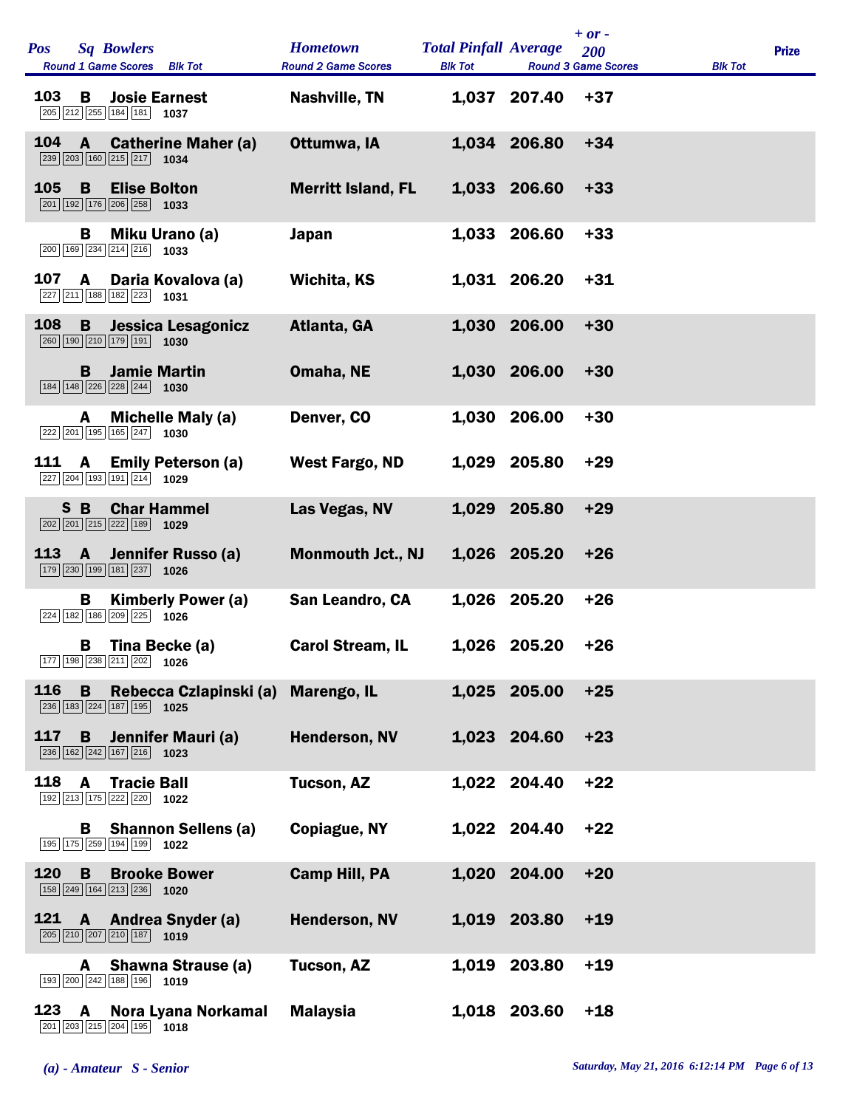| <b>Pos</b> |                | <b>Sq Bowlers</b><br>Round 1 Game Scores Blk Tot                                                              | <b>Hometown</b><br><b>Round 2 Game Scores</b> | <b>Total Pinfall Average</b><br><b>Blk Tot</b> |              | $+$ or -<br>200<br><b>Round 3 Game Scores</b> | <b>Blk Tot</b> | <b>Prize</b> |
|------------|----------------|---------------------------------------------------------------------------------------------------------------|-----------------------------------------------|------------------------------------------------|--------------|-----------------------------------------------|----------------|--------------|
| 103        | В              | <b>Josie Earnest</b><br>205 212 255 184 181 1037                                                              | <b>Nashville, TN</b>                          |                                                | 1,037 207.40 | $+37$                                         |                |              |
| 104        | $\mathbf{A}$   | <b>Catherine Maher (a)</b><br>239 203 160 215 217 1034                                                        | Ottumwa, IA                                   |                                                | 1,034 206.80 | $+34$                                         |                |              |
| 105        | B              | <b>Elise Bolton</b><br>$\boxed{201}$ 192 176 206 258 1033                                                     | <b>Merritt Island, FL</b>                     |                                                | 1,033 206.60 | $+33$                                         |                |              |
|            | В              | Miku Urano (a)<br>$\boxed{200}$ 169 234 214 216 1033                                                          | Japan                                         |                                                | 1,033 206.60 | $+33$                                         |                |              |
| 107        | A              | Daria Kovalova (a)<br>227 211 188 182 223 1031                                                                | Wichita, KS                                   |                                                | 1,031 206.20 | $+31$                                         |                |              |
| 108        | B              | Jessica Lesagonicz<br>260 190 210 179 191 1030                                                                | Atlanta, GA                                   | 1,030                                          | 206.00       | $+30$                                         |                |              |
|            | B              | <b>Jamie Martin</b><br>184 148 226 228 244<br>1030                                                            | Omaha, NE                                     |                                                | 1,030 206.00 | $+30$                                         |                |              |
|            | A              | <b>Michelle Maly (a)</b><br>$\boxed{222}\boxed{201}\boxed{195}\boxed{165}\boxed{247}$ 1030                    | Denver, CO                                    | 1,030                                          | 206.00       | $+30$                                         |                |              |
| 111        | A              | <b>Emily Peterson (a)</b><br>227 204 193 191 214<br>1029                                                      | West Fargo, ND                                |                                                | 1,029 205.80 | $+29$                                         |                |              |
|            | S B            | <b>Char Hammel</b><br>202 201 215 222 189 1029                                                                | Las Vegas, NV                                 |                                                | 1,029 205.80 | $+29$                                         |                |              |
| 113        | $\overline{A}$ | Jennifer Russo (a)<br>179 230 199 181 237 1026                                                                | <b>Monmouth Jct., NJ</b>                      |                                                | 1,026 205.20 | $+26$                                         |                |              |
|            | В              | <b>Kimberly Power (a)</b><br>224 182 186 209 225 1026                                                         | San Leandro, CA                               |                                                | 1,026 205.20 | $+26$                                         |                |              |
|            | в              | Tina Becke (a)<br>177 198 238 211 202<br>1026                                                                 | <b>Carol Stream, IL</b>                       |                                                | 1,026 205.20 | $+26$                                         |                |              |
| 116        | B              | Rebecca Czlapinski (a)<br>236 183 224 187 195 1025                                                            | <b>Marengo, IL</b>                            |                                                | 1,025 205.00 | $+25$                                         |                |              |
| 117        | B              | Jennifer Mauri (a)<br>$\boxed{236}$ 162 $\boxed{242}$ 167 $\boxed{216}$ 1023                                  | Henderson, NV                                 |                                                | 1,023 204.60 | $+23$                                         |                |              |
| 118        | A              | <b>Tracie Ball</b><br>192 213 175 222 220<br>1022                                                             | <b>Tucson, AZ</b>                             | 1,022                                          | 204.40       | $+22$                                         |                |              |
|            | В              | <b>Shannon Sellens (a)</b><br>195 175 259 194 199 1022                                                        | <b>Copiague, NY</b>                           |                                                | 1,022 204.40 | $+22$                                         |                |              |
| 120        | B              | <b>Brooke Bower</b><br>158 249 164 213 236 1020                                                               | <b>Camp Hill, PA</b>                          | 1,020                                          | 204.00       | $+20$                                         |                |              |
| 121        | A              | <b>Andrea Snyder (a)</b><br>$\boxed{205}$ $\boxed{210}$ $\boxed{207}$ $\boxed{210}$ $\boxed{187}$ <b>1019</b> | <b>Henderson, NV</b>                          |                                                | 1,019 203.80 | $+19$                                         |                |              |
|            | A              | <b>Shawna Strause (a)</b><br>$\boxed{193}$ $\boxed{200}$ $\boxed{242}$ $\boxed{188}$ $\boxed{196}$ 1019       | <b>Tucson, AZ</b>                             | 1,019                                          | 203.80       | $+19$                                         |                |              |
| 123        | A              | Nora Lyana Norkamal<br>$\boxed{201}$ $\boxed{203}$ $\boxed{215}$ $\boxed{204}$ $\boxed{195}$ $\boxed{1018}$   | <b>Malaysia</b>                               |                                                | 1,018 203.60 | $+18$                                         |                |              |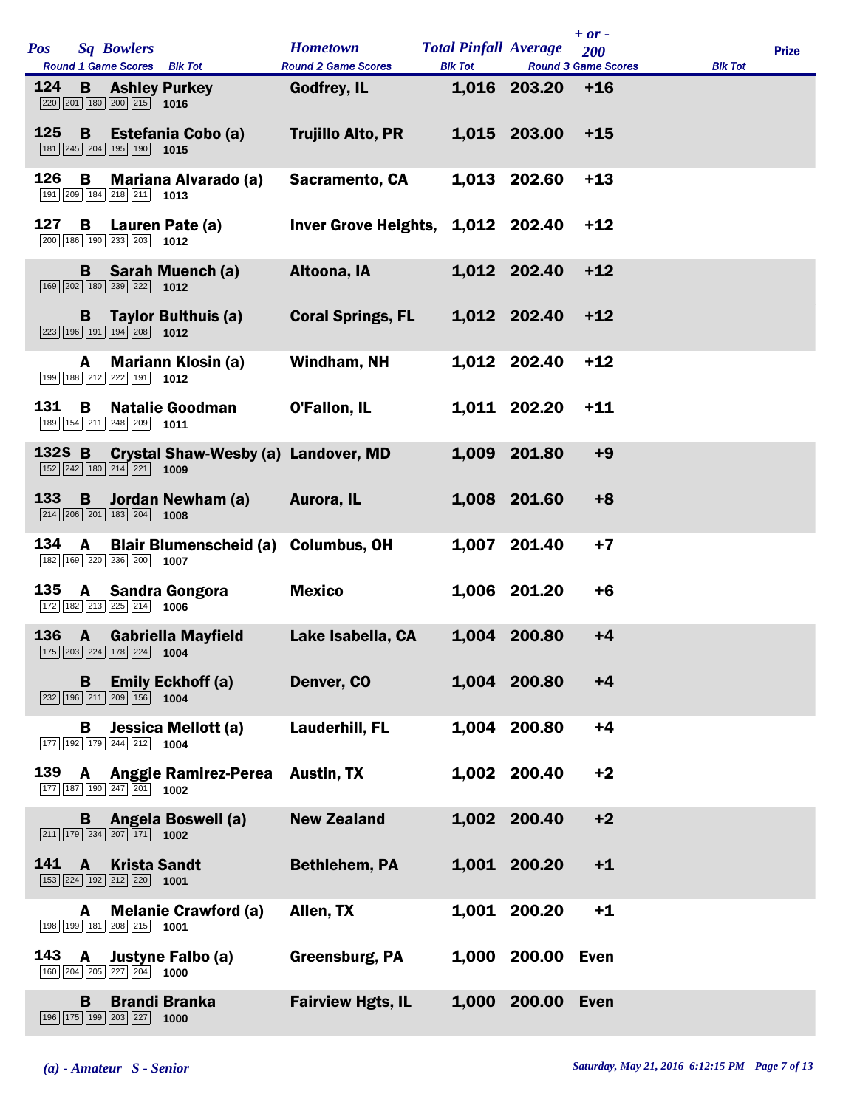| <b>Pos</b>    |              | <b>Sq Bowlers</b>                                                                                                               | <b>Hometown</b>                           | <b>Total Pinfall Average</b> |                   | $+ or -$<br>200                     |                | <b>Prize</b> |
|---------------|--------------|---------------------------------------------------------------------------------------------------------------------------------|-------------------------------------------|------------------------------|-------------------|-------------------------------------|----------------|--------------|
| 124           |              | Round 1 Game Scores Blk Tot<br><b>B</b> Ashley Purkey<br>220 201 180 200 215 1016                                               | <b>Round 2 Game Scores</b><br>Godfrey, IL | <b>Blk Tot</b>               | 1,016 203.20      | <b>Round 3 Game Scores</b><br>$+16$ | <b>Blk Tot</b> |              |
| 125           | B            | Estefania Cobo (a)<br>181 245 204 195 190 1015                                                                                  | Trujillo Alto, PR                         |                              | 1,015 203.00      | $+15$                               |                |              |
| 126           | В            | <b>Mariana Alvarado (a)</b><br>191 209 184 218 211 1013                                                                         | <b>Sacramento, CA</b>                     |                              | 1,013 202.60      | $+13$                               |                |              |
| 127           | B.           | Lauren Pate (a)<br>200 186 190 233 203 1012                                                                                     | Inver Grove Heights, 1,012 202.40         |                              |                   | $+12$                               |                |              |
|               |              | <b>B</b> Sarah Muench (a)<br>169 202 180 239 222 1012                                                                           | Altoona, IA                               |                              | 1,012 202.40      | $+12$                               |                |              |
|               | B.           | Taylor Bulthuis (a)<br>223 196 191 194 208 1012                                                                                 | <b>Coral Springs, FL</b>                  |                              | 1,012 202.40      | $+12$                               |                |              |
|               | A            | <b>Mariann Klosin (a)</b><br>199 188 212 222 191 1012                                                                           | Windham, NH                               |                              | 1,012 202.40      | $+12$                               |                |              |
| 131           | B            | <b>Natalie Goodman</b><br>$\boxed{189}$ $\boxed{154}$ $\boxed{211}$ $\boxed{248}$ $\boxed{209}$ <b>1011</b>                     | O'Fallon, IL                              |                              | 1,011 202.20      | $+11$                               |                |              |
|               |              | 132S B Crystal Shaw-Wesby (a) Landover, MD<br>$\boxed{152}$ $\boxed{242}$ $\boxed{180}$ $\boxed{214}$ $\boxed{221}$ <b>1009</b> |                                           |                              | 1,009 201.80      | $+9$                                |                |              |
| 133           | <b>B</b>     | Jordan Newham (a)<br>$\boxed{214}$ $\boxed{206}$ $\boxed{201}$ $\boxed{183}$ $\boxed{204}$ <b>1008</b>                          | Aurora, IL                                |                              | 1,008 201.60      | $+8$                                |                |              |
| 134           | A            | Blair Blumenscheid (a) Columbus, OH<br>182 169 220 236 200 1007                                                                 |                                           |                              | 1,007 201.40      | $+7$                                |                |              |
| 135           |              | A Sandra Gongora<br>172 182 213 225 214 1006                                                                                    | <b>Mexico</b>                             |                              | 1,006 201.20      | $+6$                                |                |              |
|               |              | 136 A Gabriella Mayfield<br>175 203 224 178 224 1004                                                                            | Lake Isabella, CA                         |                              | 1,004 200.80      | $+4$                                |                |              |
|               |              | <b>B</b> Emily Eckhoff (a)<br>$\boxed{232}$ 196 $\boxed{211}$ $\boxed{209}$ 156 1004                                            | Denver, CO                                |                              | 1,004 200.80      | $+4$                                |                |              |
|               |              | <b>B</b> Jessica Mellott (a)<br>$\boxed{177}$ $\boxed{192}$ $\boxed{179}$ $\boxed{244}$ $\boxed{212}$ <b>1004</b>               | <b>Lauderhill, FL</b>                     |                              | 1,004 200.80      | $+4$                                |                |              |
|               |              | 139 A Anggie Ramirez-Perea<br>177 187 190 247 201 1002                                                                          | <b>Austin, TX</b>                         |                              | 1,002 200.40      | $+2$                                |                |              |
|               |              | <b>B</b> Angela Boswell (a)<br>$\boxed{211}$ $\boxed{179}$ $\boxed{234}$ $\boxed{207}$ $\boxed{171}$ <b>1002</b>                | <b>New Zealand</b>                        |                              | 1,002 200.40      | $+2$                                |                |              |
| $141 \quad A$ |              | <b>Krista Sandt</b><br>153 224 192 212 220 1001                                                                                 | <b>Bethlehem, PA</b>                      |                              | 1,001 200.20      | $+1$                                |                |              |
|               | A            | <b>Melanie Crawford (a)</b><br>198 199 181 208 215 1001                                                                         | Allen, TX                                 |                              | 1,001 200.20      | $+1$                                |                |              |
| 143           | $\mathbf{A}$ | Justyne Falbo (a)<br>160 204 205 227 204 1000                                                                                   | Greensburg, PA                            |                              | 1,000 200.00 Even |                                     |                |              |
|               | B.           | <b>Brandi Branka</b><br>$\boxed{196}$ $\boxed{175}$ $\boxed{199}$ $\boxed{203}$ $\boxed{227}$ <b>1000</b>                       | <b>Fairview Hgts, IL</b>                  |                              | 1,000 200.00 Even |                                     |                |              |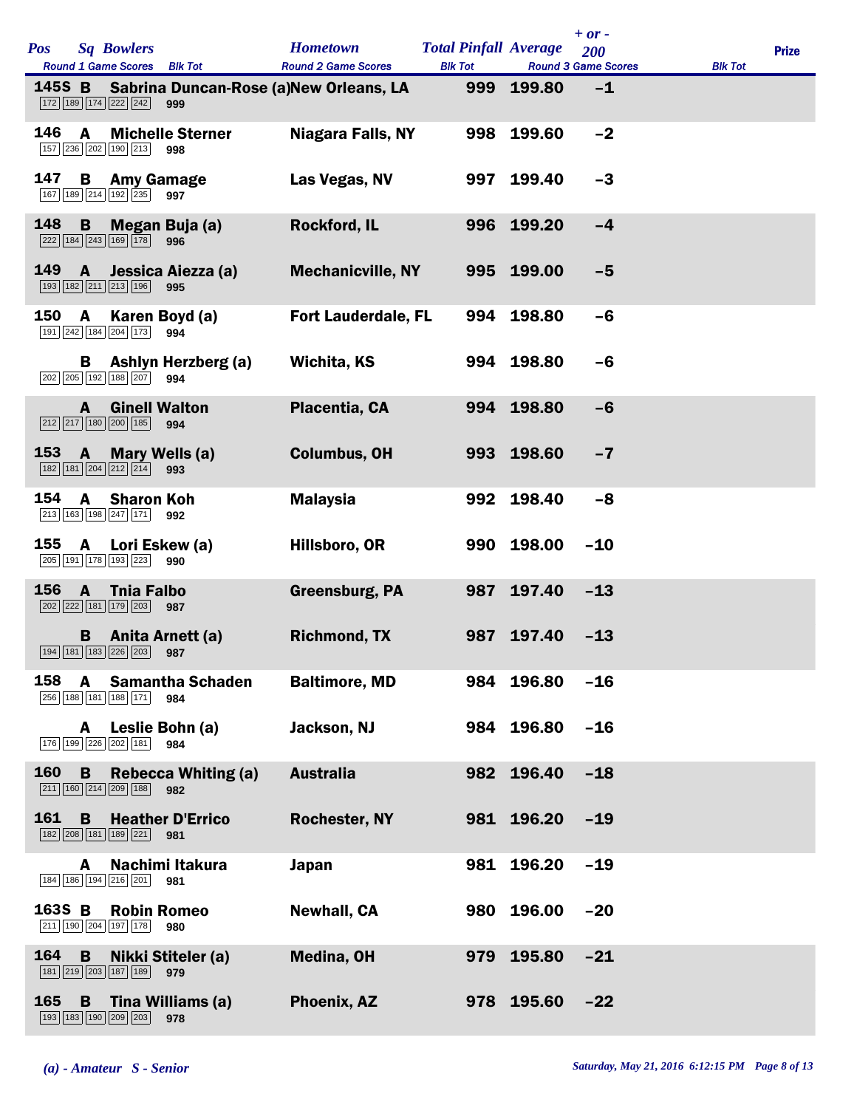| <b>Pos</b> |              | <b>Sq Bowlers</b><br>Round 1 Game Scores Blk Tot                                                  | <b>Hometown</b><br><b>Round 2 Game Scores</b> | <b>Total Pinfall Average</b><br><b>Blk Tot</b> |            | $+ or -$<br>200<br><b>Round 3 Game Scores</b> | <b>Blk Tot</b> | <b>Prize</b> |
|------------|--------------|---------------------------------------------------------------------------------------------------|-----------------------------------------------|------------------------------------------------|------------|-----------------------------------------------|----------------|--------------|
| 145S B     |              | Sabrina Duncan-Rose (a)New Orleans, LA<br>172 189 174 222 242<br>999                              |                                               | 999                                            | 199.80     | $-1$                                          |                |              |
| 146        | A            | <b>Michelle Sterner</b><br>157 236 202 190 213<br>998                                             | <b>Niagara Falls, NY</b>                      |                                                | 998 199.60 | $-2$                                          |                |              |
| 147        | В            | <b>Amy Gamage</b><br>167 189 214 192 235<br>997                                                   | Las Vegas, NV                                 | 997                                            | 199.40     | $-3$                                          |                |              |
| 148        | B            | Megan Buja (a)<br>222 184 243 169 178 996                                                         | <b>Rockford, IL</b>                           | 996                                            | 199.20     | $-4$                                          |                |              |
| 149        | $\mathbf{A}$ | Jessica Aiezza (a)<br>193 182 211 213 196<br>995                                                  | <b>Mechanicville, NY</b>                      |                                                | 995 199.00 | $-5$                                          |                |              |
| 150        | A            | Karen Boyd (a)<br>191 242 184 204 173<br>994                                                      | <b>Fort Lauderdale, FL</b>                    | 994                                            | 198.80     | $-6$                                          |                |              |
|            | В            | <b>Ashlyn Herzberg (a)</b><br>202 205 192 188 207<br>994                                          | Wichita, KS                                   |                                                | 994 198.80 | -6                                            |                |              |
|            | A            | <b>Ginell Walton</b><br>212 217 180 200 185<br>994                                                | Placentia, CA                                 |                                                | 994 198.80 | $-6$                                          |                |              |
| 153 A      |              | <b>Mary Wells (a)</b><br>182 181 204 212 214 993                                                  | <b>Columbus, OH</b>                           |                                                | 993 198.60 | $-7$                                          |                |              |
| 154        | A            | <b>Sharon Koh</b><br>$\boxed{213}$ $\boxed{163}$ $\boxed{198}$ $\boxed{247}$ $\boxed{171}$<br>992 | <b>Malaysia</b>                               | 992                                            | 198.40     | $-8$                                          |                |              |
| 155        | $\mathbf{A}$ | Lori Eskew (a)<br>$\boxed{205}$ $\boxed{191}$ $\boxed{178}$ $\boxed{193}$ $\boxed{223}$<br>990    | Hillsboro, OR                                 |                                                | 990 198.00 | $-10$                                         |                |              |
| 156        | $\mathbf{A}$ | <b>Thia Falbo</b><br>202 222 181 179 203<br>987                                                   | Greensburg, PA                                | 987                                            | 197.40     | $-13$                                         |                |              |
|            |              | <b>B</b> Anita Arnett (a)<br>194 181 183 226 203 987                                              | <b>Richmond, TX</b>                           | 987                                            | 197.40     | $-13$                                         |                |              |
| 158        | A            | <b>Samantha Schaden</b><br>256 188 181 188 171<br>984                                             | <b>Baltimore, MD</b>                          | 984                                            | 196.80     | $-16$                                         |                |              |
|            | A            | Leslie Bohn (a)<br>176 199 226 202 181<br>984                                                     | Jackson, NJ                                   |                                                | 984 196.80 | $-16$                                         |                |              |
| 160        | B            | <b>Rebecca Whiting (a)</b><br>211   160   214   209   188  <br>982                                | <b>Australia</b>                              | 982                                            | 196.40     | $-18$                                         |                |              |
| 161        | B            | <b>Heather D'Errico</b><br> 182   208   181   189   221   <br>981                                 | <b>Rochester, NY</b>                          |                                                | 981 196.20 | $-19$                                         |                |              |
|            | A            | Nachimi Itakura<br>184 186 194 216 201<br>981                                                     | <b>Japan</b>                                  | 981                                            | 196.20     | $-19$                                         |                |              |
| 163S B     |              | <b>Robin Romeo</b><br>211 190 204 197 178<br>980                                                  | <b>Newhall, CA</b>                            | 980                                            | 196.00     | $-20$                                         |                |              |
| 164        | B            | Nikki Stiteler (a)<br>181 219 203 187 189<br>979                                                  | Medina, OH                                    | 979                                            | 195.80     | $-21$                                         |                |              |
| 165        | B            | Tina Williams (a)<br>193 183 190 209 203<br>978                                                   | Phoenix, AZ                                   |                                                | 978 195.60 | $-22$                                         |                |              |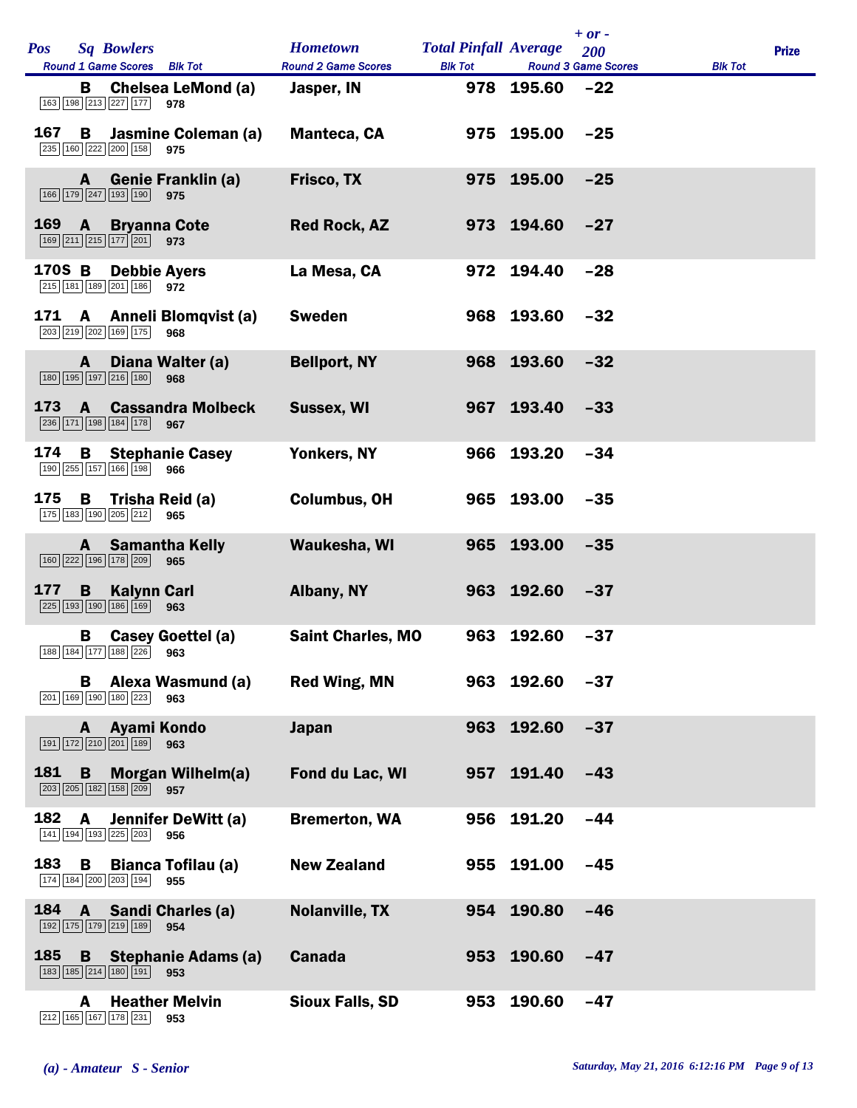| <b>Pos</b> | <b>Sq Bowlers</b>                             | Round 1 Game Scores Blk Tot                  | <b>Hometown</b><br><b>Round 2 Game Scores</b> | <b>Total Pinfall Average</b><br><b>Blk Tot</b> |            | $+ or -$<br>200<br><b>Round 3 Game Scores</b> | <b>Blk Tot</b> | <b>Prize</b> |
|------------|-----------------------------------------------|----------------------------------------------|-----------------------------------------------|------------------------------------------------|------------|-----------------------------------------------|----------------|--------------|
|            | в<br>163 198 213 227 177                      | <b>Chelsea LeMond (a)</b><br>978             | Jasper, IN                                    |                                                | 978 195.60 | $-22$                                         |                |              |
| 167        | B<br>235 160 222 200 158 975                  | Jasmine Coleman (a)                          | <b>Manteca, CA</b>                            |                                                | 975 195.00 | $-25$                                         |                |              |
|            | A<br>166 179 247 193 190                      | <b>Genie Franklin (a)</b><br>975             | <b>Frisco, TX</b>                             |                                                | 975 195.00 | $-25$                                         |                |              |
| 169        | $\mathbf{A}$<br>$169$ $211$ $215$ $177$ $201$ | <b>Bryanna Cote</b><br>973                   | <b>Red Rock, AZ</b>                           |                                                | 973 194.60 | $-27$                                         |                |              |
| 170S B     | 215 181 189 201 186 972                       | <b>Debbie Ayers</b>                          | La Mesa, CA                                   |                                                | 972 194.40 | $-28$                                         |                |              |
| 171        | 203 219 202 169 175                           | A Anneli Blomqvist (a)<br>968                | <b>Sweden</b>                                 |                                                | 968 193.60 | $-32$                                         |                |              |
|            | A<br>180 195 197 216 180                      | Diana Walter (a)<br>968                      | <b>Bellport, NY</b>                           |                                                | 968 193.60 | $-32$                                         |                |              |
| 173        | A<br>236 171 198 184 178                      | <b>Cassandra Molbeck</b><br>967              | Sussex, WI                                    |                                                | 967 193.40 | $-33$                                         |                |              |
| 174        | 190 255 157 166 198                           | <b>B</b> Stephanie Casey<br>966              | Yonkers, NY                                   |                                                | 966 193.20 | $-34$                                         |                |              |
| 175        | B<br>175 183 190 205 212                      | Trisha Reid (a)<br>965                       | <b>Columbus, OH</b>                           |                                                | 965 193.00 | $-35$                                         |                |              |
|            | A<br>160 222 196 178 209                      | <b>Samantha Kelly</b><br>965                 | Waukesha, WI                                  | 965                                            | 193.00     | $-35$                                         |                |              |
| 177        | B<br>$ 225 $ 193   190   186   169            | <b>Kalynn Carl</b><br>963                    | Albany, NY                                    |                                                | 963 192.60 | $-37$                                         |                |              |
|            | B                                             | Casey Goettel (a)<br>188 184 177 188 226 963 | <b>Saint Charles, MO</b>                      |                                                | 963 192.60 | $-37$                                         |                |              |
|            | В<br>201 169 190 180 223                      | Alexa Wasmund (a)<br>963                     | <b>Red Wing, MN</b>                           |                                                | 963 192.60 | $-37$                                         |                |              |
|            | A<br>191 172 210 201 189                      | Ayami Kondo<br>963                           | <b>Japan</b>                                  | 963                                            | 192.60     | $-37$                                         |                |              |
| 181        | B<br>203 205 182 158 209                      | <b>Morgan Wilhelm(a)</b><br>957              | Fond du Lac, WI                               | 957                                            | 191.40     | $-43$                                         |                |              |
| 182        | A<br>141 194 193 225 203                      | Jennifer DeWitt (a)<br>956                   | <b>Bremerton, WA</b>                          | 956                                            | 191.20     | $-44$                                         |                |              |
| 183        | B<br>174 184 200 203 194                      | <b>Bianca Tofilau (a)</b><br>955             | <b>New Zealand</b>                            |                                                | 955 191.00 | $-45$                                         |                |              |
| 184        | $\mathbf{A}$<br>192 175 179 219 189           | <b>Sandi Charles (a)</b><br>954              | <b>Nolanville, TX</b>                         | 954                                            | 190.80     | $-46$                                         |                |              |
| 185        | B<br>183 185 214 180 191 953                  | <b>Stephanie Adams (a)</b>                   | <b>Canada</b>                                 |                                                | 953 190.60 | $-47$                                         |                |              |
|            | A<br>212 165 167 178 231                      | <b>Heather Melvin</b><br>953                 | <b>Sioux Falls, SD</b>                        | 953                                            | 190.60     | $-47$                                         |                |              |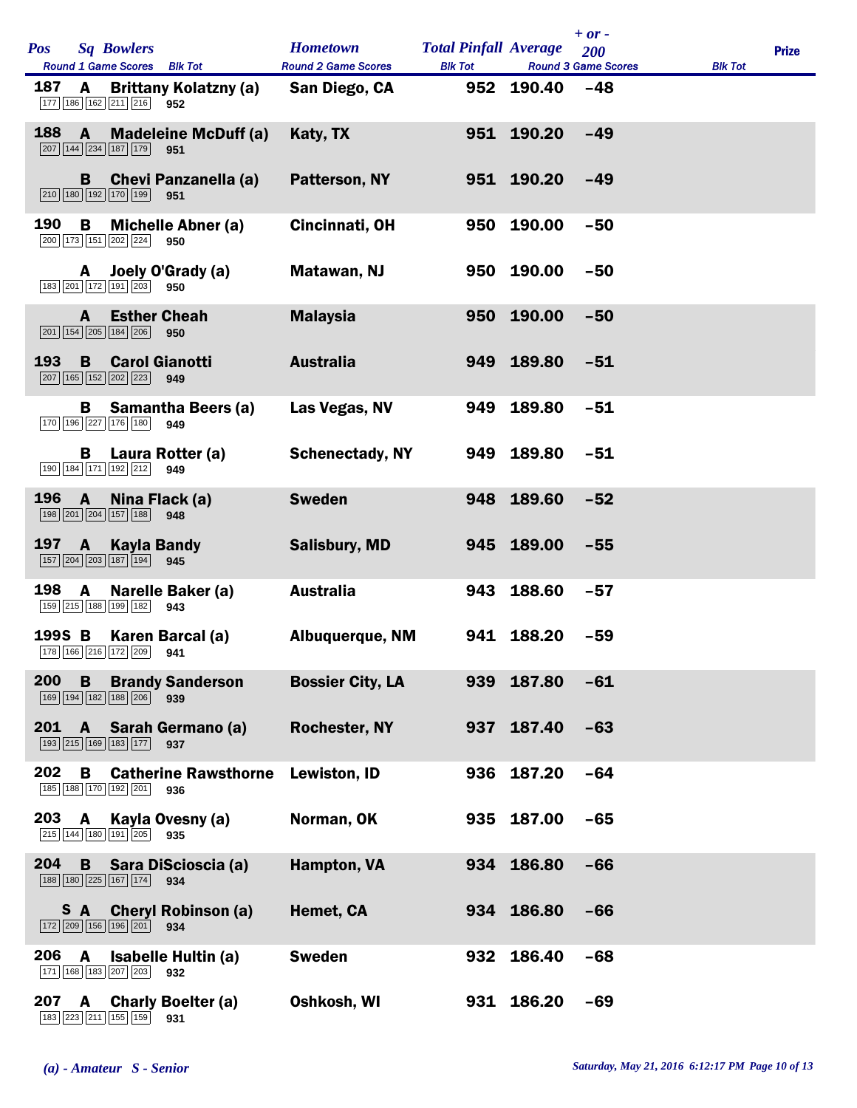| <b>Pos</b> |              | <b>Sq Bowlers</b><br>Round 1 Game Scores Blk Tot                                                          | <b>Hometown</b><br><b>Round 2 Game Scores</b> | <b>Total Pinfall Average</b><br><b>Blk Tot</b> |            | $+ or -$<br>200<br><b>Round 3 Game Scores</b> | <b>Blk Tot</b> | <b>Prize</b> |  |
|------------|--------------|-----------------------------------------------------------------------------------------------------------|-----------------------------------------------|------------------------------------------------|------------|-----------------------------------------------|----------------|--------------|--|
| 187        | A            | <b>Brittany Kolatzny (a)</b><br>177 186 162 211 216 952                                                   | San Diego, CA                                 |                                                | 952 190.40 | $-48$                                         |                |              |  |
| 188        | $\mathbf{A}$ | <b>Madeleine McDuff (a)</b><br>$\boxed{207}$ $\boxed{144}$ $\boxed{234}$ $\boxed{187}$ $\boxed{179}$ 951  | Katy, TX                                      |                                                | 951 190.20 | $-49$                                         |                |              |  |
|            | B.           | <b>Chevi Panzanella (a)</b><br>210 180 192 170 199<br>951                                                 | <b>Patterson, NY</b>                          |                                                | 951 190.20 | $-49$                                         |                |              |  |
| 190        | в            | <b>Michelle Abner (a)</b><br>200 173 151 202 224 950                                                      | Cincinnati, OH                                | 950                                            | 190.00     | $-50$                                         |                |              |  |
|            | A            | Joely O'Grady (a)<br>183 201 172 191 203 950                                                              | Matawan, NJ                                   |                                                | 950 190.00 | $-50$                                         |                |              |  |
|            | A            | <b>Esther Cheah</b><br>201 154 205 184 206<br>950                                                         | <b>Malaysia</b>                               | 950                                            | 190.00     | $-50$                                         |                |              |  |
| 193        | B            | <b>Carol Gianotti</b><br>207 165 152 202 223<br>949                                                       | <b>Australia</b>                              | 949                                            | 189.80     | $-51$                                         |                |              |  |
|            | в            | <b>Samantha Beers (a)</b><br>170 196 227 176 180<br>949                                                   | Las Vegas, NV                                 | 949                                            | 189.80     | $-51$                                         |                |              |  |
|            | В            | Laura Rotter (a)<br>190 184 171 192 212 949                                                               | <b>Schenectady, NY</b>                        |                                                | 949 189.80 | $-51$                                         |                |              |  |
| 196        | $\mathbf{A}$ | Nina Flack (a)<br>198 201 204 157 188<br>948                                                              | <b>Sweden</b>                                 | 948                                            | 189.60     | $-52$                                         |                |              |  |
| 197        | A            | <b>Kayla Bandy</b><br>157 204 203 187 194<br>945                                                          | <b>Salisbury, MD</b>                          |                                                | 945 189.00 | $-55$                                         |                |              |  |
| 198        | A            | Narelle Baker (a)<br>159 215 188 199 182<br>943                                                           | <b>Australia</b>                              |                                                | 943 188.60 | $-57$                                         |                |              |  |
|            |              | 1995 B Karen Barcal (a)<br>178 166 216 172 209 941                                                        | <b>Albuquerque, NM</b>                        |                                                | 941 188.20 | $-59$                                         |                |              |  |
| 200        | B            | <b>Brandy Sanderson</b><br>169 194 182 188 206 939                                                        | <b>Bossier City, LA</b>                       | 939                                            | 187.80     | $-61$                                         |                |              |  |
| 201        |              | A Sarah Germano (a)<br>193 215 169 183 177<br>937                                                         | <b>Rochester, NY</b>                          |                                                | 937 187.40 | $-63$                                         |                |              |  |
| 202        | В            | <b>Catherine Rawsthorne</b><br>185 188 170 192 201<br>936                                                 | Lewiston, ID                                  | 936                                            | 187.20     | $-64$                                         |                |              |  |
| 203        | A            | Kayla Ovesny (a)<br>215   144   180   191   205  <br>935                                                  | Norman, OK                                    |                                                | 935 187.00 | $-65$                                         |                |              |  |
| 204        |              | <b>B</b> Sara DiScioscia (a)<br>$\boxed{188}$ $\boxed{180}$ $\boxed{225}$ $\boxed{167}$ $\boxed{174}$ 934 | Hampton, VA                                   |                                                | 934 186.80 | $-66$                                         |                |              |  |
|            | S A          | <b>Cheryl Robinson (a)</b><br>172 209 156 196 201<br>934                                                  | Hemet, CA                                     |                                                | 934 186.80 | $-66$                                         |                |              |  |
| 206        | A            | <b>Isabelle Hultin (a)</b><br>171 168 183 207 203<br>932                                                  | <b>Sweden</b>                                 |                                                | 932 186.40 | $-68$                                         |                |              |  |
| 207        | A            | <b>Charly Boelter (a)</b><br>183 223 211 155 159<br>931                                                   | Oshkosh, WI                                   |                                                | 931 186.20 | $-69$                                         |                |              |  |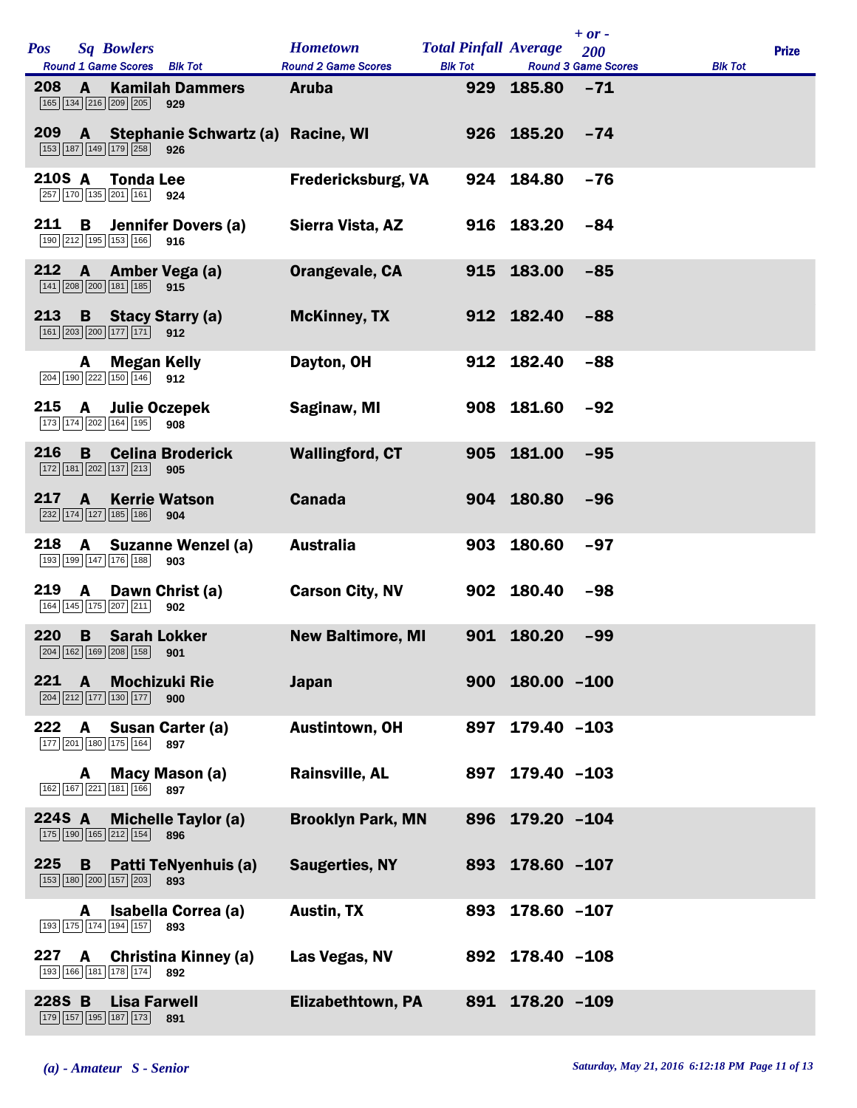| <b>Pos</b> | <b>Sq Bowlers</b><br>Round 1 Game Scores Blk Tot                                                             | <b>Hometown</b><br><b>Round 2 Game Scores</b> | <b>Total Pinfall Average</b><br><b>Blk Tot</b> |                     | $+ or -$<br>200<br><b>Round 3 Game Scores</b> | <b>Blk Tot</b> | <b>Prize</b> |
|------------|--------------------------------------------------------------------------------------------------------------|-----------------------------------------------|------------------------------------------------|---------------------|-----------------------------------------------|----------------|--------------|
| 208        | <b>Kamilah Dammers</b><br>A<br>165 134 216 209 205<br>929                                                    | <b>Aruba</b>                                  |                                                | 929 185.80          | $-71$                                         |                |              |
| 209        | A Stephanie Schwartz (a) Racine, WI<br>153 187 149 179 258<br>926                                            |                                               |                                                | 926 185.20          | $-74$                                         |                |              |
| 210S A     | <b>Tonda Lee</b><br>257 170 135 201 161 924                                                                  | <b>Fredericksburg, VA</b>                     |                                                | 924 184.80          | $-76$                                         |                |              |
| 211        | B<br>Jennifer Dovers (a)<br>$\boxed{190}$ $\boxed{212}$ $\boxed{195}$ $\boxed{153}$ $\boxed{166}$ 916        | Sierra Vista, AZ                              |                                                | 916 183.20          | $-84$                                         |                |              |
| 212        | A Amber Vega (a)<br>$141$ $208$ $200$ $181$ $185$<br>915                                                     | Orangevale, CA                                |                                                | 915 183.00          | $-85$                                         |                |              |
| 213        | <b>B</b> Stacy Starry (a)<br>161 203 200 177 171 912                                                         | <b>McKinney, TX</b>                           |                                                | 912 182.40          | $-88$                                         |                |              |
|            | <b>Megan Kelly</b><br>A<br>204 190 222 150 146<br>912                                                        | Dayton, OH                                    |                                                | 912 182.40          | $-88$                                         |                |              |
| 215        | <b>Julie Oczepek</b><br>A<br>173 174 202 164 195<br>908                                                      | Saginaw, MI                                   |                                                | 908 181.60          | $-92$                                         |                |              |
| 216        | <b>Celina Broderick</b><br>B<br>$\boxed{172}$ $\boxed{181}$ $\boxed{202}$ $\boxed{137}$ $\boxed{213}$<br>905 | <b>Wallingford, CT</b>                        |                                                | 905 181.00          | $-95$                                         |                |              |
| 217        | $\mathbf{A}$<br><b>Kerrie Watson</b><br>232 174 127 185 186<br>904                                           | <b>Canada</b>                                 |                                                | 904 180.80          | $-96$                                         |                |              |
| 218        | A<br><b>Suzanne Wenzel (a)</b><br>193 199 147 176 188<br>903                                                 | <b>Australia</b>                              |                                                | 903 180.60          | $-97$                                         |                |              |
| 219        | A Dawn Christ (a)<br>164 145 175 207 211<br>902                                                              | <b>Carson City, NV</b>                        |                                                | 902 180.40          | $-98$                                         |                |              |
| 220        | <b>B</b> Sarah Lokker<br>204 162 169 208 158 901                                                             | <b>New Baltimore, MI</b>                      |                                                | 901 180.20          | $-99$                                         |                |              |
| 221        | <b>Mochizuki Rie</b><br>A<br>204 212 177 130 177<br>900                                                      | <b>Japan</b>                                  |                                                | $900$ 180.00 $-100$ |                                               |                |              |
| 222        | A Susan Carter (a)<br>177 201 180 175 164<br>897                                                             | <b>Austintown, OH</b>                         | 897                                            | $179.40 - 103$      |                                               |                |              |
|            | Macy Mason (a)<br>A<br>162 167 221 181 166<br>897                                                            | <b>Rainsville, AL</b>                         | 897                                            | $179.40 - 103$      |                                               |                |              |
| 224S A     | <b>Michelle Taylor (a)</b><br>175 190 165 212 154<br>896                                                     | <b>Brooklyn Park, MN</b>                      |                                                | 896 179.20 -104     |                                               |                |              |
| 225        | <b>B</b> Patti TeNyenhuis (a)<br>153 180 200 157 203<br>893                                                  | <b>Saugerties, NY</b>                         |                                                | 893 178.60 -107     |                                               |                |              |
|            | Isabella Correa (a)<br>A<br>193 175 174 194 157<br>893                                                       | <b>Austin, TX</b>                             | 893                                            | 178.60 -107         |                                               |                |              |
| 227        | Christina Kinney (a)<br>A<br>193 166 181 178 174 892                                                         | Las Vegas, NV                                 |                                                | 892 178.40 -108     |                                               |                |              |
| 228S B     | <b>Lisa Farwell</b><br>179 157 195 187 173<br>891                                                            | Elizabethtown, PA                             |                                                | 891 178.20 -109     |                                               |                |              |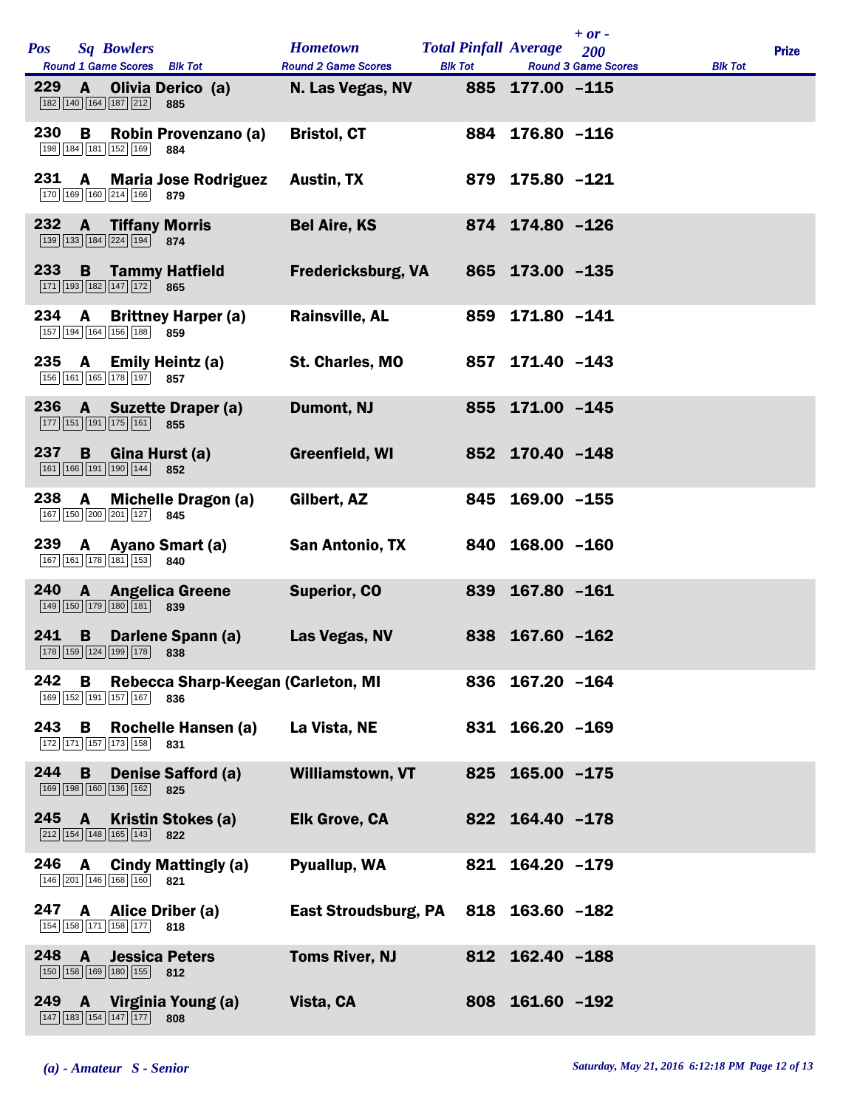| <b>Pos</b> | <b>Sq Bowlers</b>                   |                                                                                                      | <b>Hometown</b>                      | <b>Total Pinfall Average</b> |                 | $+ or -$<br>200            |                | <b>Prize</b> |
|------------|-------------------------------------|------------------------------------------------------------------------------------------------------|--------------------------------------|------------------------------|-----------------|----------------------------|----------------|--------------|
|            |                                     | Round 1 Game Scores Blk Tot                                                                          | <b>Round 2 Game Scores</b>           | <b>Blk Tot</b>               |                 | <b>Round 3 Game Scores</b> | <b>Blk Tot</b> |              |
| 229        | A<br>182 140 164 187 212            | Olivia Derico (a)<br>885                                                                             | N. Las Vegas, NV                     |                              | 885 177.00 -115 |                            |                |              |
| 230        | B<br>198 184 181 152 169            | Robin Provenzano (a)<br>884                                                                          | <b>Bristol, CT</b>                   |                              | 884 176.80 -116 |                            |                |              |
| 231        | $\mathbf{A}$<br>170 169 160 214 166 | <b>Maria Jose Rodriguez</b><br>879                                                                   | <b>Austin, TX</b>                    |                              | 879 175.80 -121 |                            |                |              |
| 232        | $\mathbf{A}$                        | <b>Tiffany Morris</b><br>139 133 184 224 194 874                                                     | <b>Bel Aire, KS</b>                  |                              | 874 174.80 -126 |                            |                |              |
| 233        |                                     | <b>B</b> Tammy Hatfield<br>$\boxed{171}$ $\boxed{193}$ $\boxed{182}$ $\boxed{147}$ $\boxed{172}$ 865 | <b>Fredericksburg, VA</b>            |                              | 865 173.00 -135 |                            |                |              |
| 234        | A                                   | <b>Brittney Harper (a)</b><br>157 194 164 156 188 859                                                | <b>Rainsville, AL</b>                | 859                          | 171.80 -141     |                            |                |              |
| 235        | 156 161 165 178 197                 | A Emily Heintz (a)<br>857                                                                            | St. Charles, MO                      |                              | 857 171.40 -143 |                            |                |              |
| 236        | A                                   | <b>Suzette Draper (a)</b><br>177 151 191 175 161 855                                                 | Dumont, NJ                           |                              | 855 171.00 -145 |                            |                |              |
| 237        |                                     | <b>B</b> Gina Hurst (a)<br>161 166 191 190 144 852                                                   | Greenfield, WI                       |                              | 852 170.40 -148 |                            |                |              |
| 238        | A                                   | <b>Michelle Dragon (a)</b><br>167 150 200 201 127 845                                                | Gilbert, AZ                          |                              | 845 169.00 -155 |                            |                |              |
| 239        | 167 161 178 181 153                 | A Ayano Smart (a)<br>840                                                                             | San Antonio, TX                      |                              | 840 168.00 -160 |                            |                |              |
| 240        | $\mathbf{A}$<br>149 150 179 180 181 | <b>Angelica Greene</b><br>839                                                                        | <b>Superior, CO</b>                  |                              | 839 167.80 -161 |                            |                |              |
| 241        |                                     | <b>B</b> Darlene Spann (a)<br>178 159 124 199 178 838                                                | Las Vegas, NV                        |                              | 838 167.60 -162 |                            |                |              |
| 242        | В                                   | Rebecca Sharp-Keegan (Carleton, MI<br>169 152 191 157 167 836                                        |                                      |                              | 836 167.20 -164 |                            |                |              |
| 243        | B                                   | Rochelle Hansen (a)<br>172 171 157 173 158 831                                                       | La Vista, NE                         |                              | 831 166.20 -169 |                            |                |              |
| 244        | B<br>169 198 160 136 162            | <b>Denise Safford (a)</b><br>825                                                                     | Williamstown, VT                     |                              | 825 165.00 -175 |                            |                |              |
| 245        | $\mathbf{A}$<br>212 154 148 165 143 | Kristin Stokes (a)<br>822                                                                            | <b>Elk Grove, CA</b>                 |                              | 822 164.40 -178 |                            |                |              |
| 246        | $\mathbf{A}$<br>146 201 146 168 160 | <b>Cindy Mattingly (a)</b><br>821                                                                    | Pyuallup, WA                         |                              | 821 164.20 -179 |                            |                |              |
| 247        |                                     | A Alice Driber (a)<br>154 158 171 158 177 818                                                        | East Stroudsburg, PA 818 163.60 -182 |                              |                 |                            |                |              |
| 248 A      |                                     | <b>Jessica Peters</b><br>150 158 169 180 155 812                                                     | <b>Toms River, NJ</b>                |                              | 812 162.40 -188 |                            |                |              |
| 249 -      |                                     | A Virginia Young (a)<br>147 183 154 147 177 808                                                      | Vista, CA                            |                              | 808 161.60 -192 |                            |                |              |